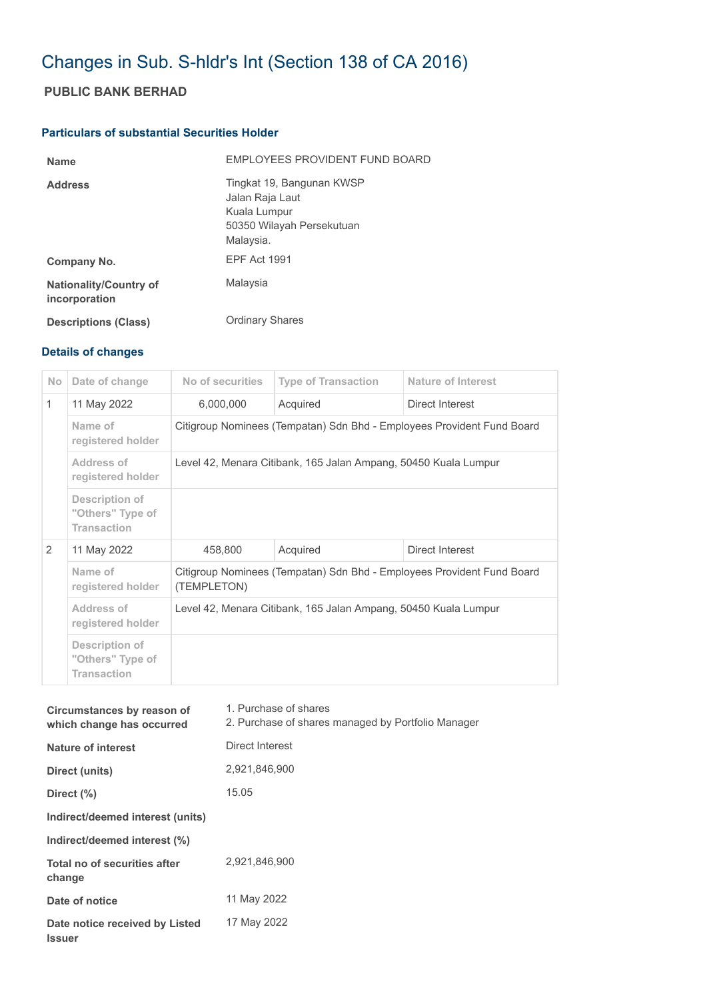## Changes in Sub. S-hldr's Int (Section 138 of CA 2016)

## **PUBLIC BANK BERHAD**

## **Particulars of substantial Securities Holder**

| <b>Name</b>                                    | <b>FMPLOYEES PROVIDENT FUND BOARD</b>                                                                  |
|------------------------------------------------|--------------------------------------------------------------------------------------------------------|
| <b>Address</b>                                 | Tingkat 19, Bangunan KWSP<br>Jalan Raja Laut<br>Kuala Lumpur<br>50350 Wilayah Persekutuan<br>Malaysia. |
| Company No.                                    | <b>FPF Act 1991</b>                                                                                    |
| <b>Nationality/Country of</b><br>incorporation | Malaysia                                                                                               |
| <b>Descriptions (Class)</b>                    | <b>Ordinary Shares</b>                                                                                 |

## **Details of changes**

| N <sub>o</sub> | Date of change                                           | No of securities                                                                      | <b>Type of Transaction</b> | <b>Nature of Interest</b> |  |
|----------------|----------------------------------------------------------|---------------------------------------------------------------------------------------|----------------------------|---------------------------|--|
| $\mathbf{1}$   | 11 May 2022                                              | 6,000,000                                                                             | Acquired                   | Direct Interest           |  |
|                | Name of<br>registered holder                             | Citigroup Nominees (Tempatan) Sdn Bhd - Employees Provident Fund Board                |                            |                           |  |
|                | Address of<br>registered holder                          | Level 42, Menara Citibank, 165 Jalan Ampang, 50450 Kuala Lumpur                       |                            |                           |  |
|                | Description of<br>"Others" Type of<br><b>Transaction</b> |                                                                                       |                            |                           |  |
| 2              | 11 May 2022                                              | 458,800                                                                               | Acquired                   | Direct Interest           |  |
|                | Name of<br>registered holder                             | Citigroup Nominees (Tempatan) Sdn Bhd - Employees Provident Fund Board<br>(TEMPLETON) |                            |                           |  |
|                | Address of<br>registered holder                          | Level 42, Menara Citibank, 165 Jalan Ampang, 50450 Kuala Lumpur                       |                            |                           |  |
|                | Description of<br>"Others" Type of<br><b>Transaction</b> |                                                                                       |                            |                           |  |

| Circumstances by reason of<br>which change has occurred | 1. Purchase of shares<br>2. Purchase of shares managed by Portfolio Manager |  |  |
|---------------------------------------------------------|-----------------------------------------------------------------------------|--|--|
| Nature of interest                                      | Direct Interest                                                             |  |  |
| Direct (units)                                          | 2,921,846,900                                                               |  |  |
| Direct $(\% )$                                          | 15.05                                                                       |  |  |
| Indirect/deemed interest (units)                        |                                                                             |  |  |
| Indirect/deemed interest (%)                            |                                                                             |  |  |
| Total no of securities after<br>change                  | 2.921.846.900                                                               |  |  |
| Date of notice                                          | 11 May 2022                                                                 |  |  |
| Date notice received by Listed<br><b>Issuer</b>         | 17 May 2022                                                                 |  |  |